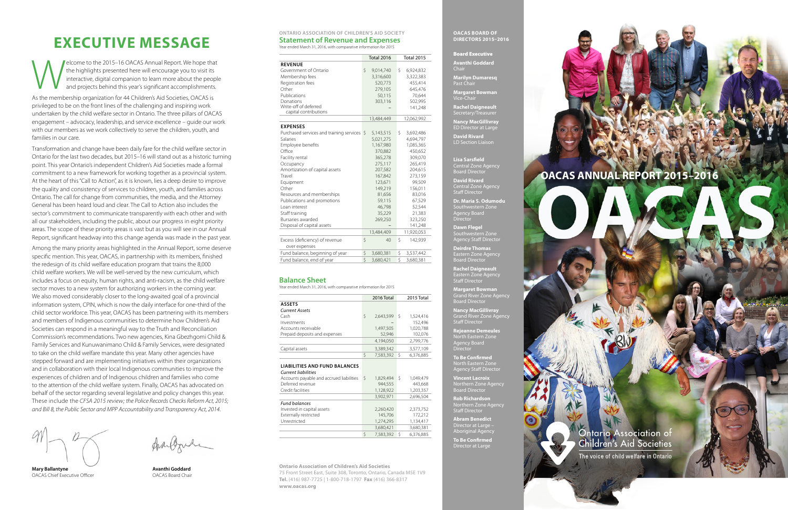**Mary Ballantyne** OACAS Chief Executive Officer

franconde

#### **Ontario Association of Children's Aid Society Statement of Revenue and Expenses**

Year ended March 31, 2016, with comparative information for 2015

|                                                 | <b>Total 2016</b> | <b>Total 2015</b> |
|-------------------------------------------------|-------------------|-------------------|
| <b>REVENUE</b>                                  |                   |                   |
| Government of Ontario                           | \$<br>9,014,740   | Ŝ.<br>6,924,832   |
| Membership fees                                 | 3,316,600         | 3,322,383         |
| Registration fees                               | 520,773           | 455,414           |
| Other                                           | 279,105           | 645,476           |
| Publications                                    | 50,115            | 70,644            |
| Donations                                       | 303,116           | 502,995           |
| Write-off of deferred<br>capital contributions  |                   | 141,248           |
|                                                 | 13,484,449        | 12,062,992        |
| <b>EXPENSES</b>                                 |                   |                   |
| Purchased services and training services \$     | 5,143,515         | \$<br>3,692,486   |
| Salaries                                        | 5,021,275         | 4,694,797         |
| Employee benefits                               | 1,167,980         | 1,085,365         |
| Office                                          | 370,882           | 450,652           |
| Facility rental                                 | 365,278           | 309,070           |
| Occupancy                                       | 275,117           | 265,419           |
| Amortization of capital assets                  | 207,582           | 204,615           |
| Travel                                          | 167,842           | 273,159           |
| Equipment                                       | 123,671           | 99,509            |
| Other                                           | 149,219           | 156,011           |
| Resources and memberships                       | 81,656            | 83,016            |
| Publications and promotions                     | 59,115            | 67,529            |
| Loan interest                                   | 46,798            | 52,544            |
| Staff training                                  | 35,229            | 21,383            |
| Bursaries awarded                               | 269,250           | 323,250           |
| Disposal of capital assets                      |                   | 141,248           |
|                                                 | 13,484,409        | 11,920,053        |
| Excess (deficiency) of revenue<br>over expenses | \$<br>40          | Ŝ.<br>142,939     |
| Fund balance, beginning of year                 | \$<br>3,680,381   | \$<br>3,537,442   |
| Fund balance, end of year                       | \$<br>3,680,421   | Ś<br>3,680,381    |
|                                                 |                   |                   |

**Lisa Sarsfield**<br>Central Zone Ager Central Zone Agency Board Director

**Dr. Maria S. Odumodu** Southwestern Zone Agency Board Director

#### **Balance Sheet**

Year ended March 31, 2016, with comparative information for 2015

|                                                                                                                |   | 2016 Total |    | 2015 Total |
|----------------------------------------------------------------------------------------------------------------|---|------------|----|------------|
| <b>ASSETS</b>                                                                                                  |   |            |    |            |
| <b>Current Assets</b>                                                                                          |   |            |    |            |
| Cash                                                                                                           | Ś | 2.643.599  | -S | 1,524,416  |
| Investments                                                                                                    |   |            |    | 152.496    |
| Accounts receivable                                                                                            |   | 1,497,505  |    | 1,020,788  |
| Prepaid deposits and expenses                                                                                  |   | 52.946     |    | 102.076    |
|                                                                                                                |   | 4,194,050  |    | 2,799,776  |
| Capital assets                                                                                                 |   | 3,389,342  |    | 3,577,109  |
|                                                                                                                | Ś | 7,583,392  | Ŝ  | 6,376,885  |
| <b>LIABILITIES AND FUND BALANCES</b><br><b>Current liabilities</b><br>Accounts payable and accrued liabilities | Ś | 1.829.494  |    | 1.049.479  |

Elecome to the 2015–16 OACAS Annual Report. We hope that<br>the highlights presented here will encourage you to visit its<br>interactive, digital companion to learn more about the people<br>and projects behind this year's significa the highlights presented here will encourage you to visit its interactive, digital companion to learn more about the people and projects behind this year's significant accomplishments.

| Current liabilities                      |                |                |
|------------------------------------------|----------------|----------------|
| Accounts payable and accrued liabilities | Ŝ<br>1,829,494 | 1,049,479<br>Ŝ |
| Deferred revenue                         | 944.555        | 443,668        |
| Credit facilities                        | 1,128,922      | 1,203,357      |
|                                          | 3,902,971      | 2,696,504      |
| <b>Fund balances</b>                     |                |                |
| Invested in capital assets               | 2,260,420      | 2,373,752      |
| Externally restricted                    | 145.706        | 172.212        |
| Unrestricted                             | 1,274,295      | 1,134,417      |
|                                          | 3,680,421      | 3,680,381      |
|                                          | 7.583.392      | 6.376.885      |

**OACAS ANNUAL REPORT 2015–2016**

**Ontario Association of Children's Aid Societies** 

The voice of child welfare in Ontario

**OACAS Board of Directors 2015–2016**

#### Board Executive

**Avanthi Goddard** Chair

**Marilyn Dumaresq** Past Chair

**Margaret Bowman** Vice-Chair

**Rachel Daigneault** Secretary/Treasurer

**Nancy MacGillivray**

ED Director at Large

**David Rivard** LD Section Liaison

**David Rivard** Central Zone Agency Staff Director

**Dawn Flegel** Southwestern Zone Agency Staff Director

**Deirdre Thomas** Eastern Zone Agency

Board Director **Rachel Daigneault** Eastern Zone Agency Staff Director

**Margaret Bowman** Grand River Zone Agency Board Director

**Nancy MacGillivray** Grand River Zone Agency Staff Director

**Rejeanne Demeules** North Eastern Zone Agency Board Director

**To Be Confirmed** North Eastern Zone Agency Staff Director

**Vincent Lacroix** Northern Zone Agency Board Director

**Rob Richardson** Northern Zone Agency Staff Director

**Abram Benedict** Director at Large – Aboriginal Agency

**To Be Confirmed** Director at Large

**Ontario Association of Children's Aid Societies** 75 Front Street East, Suite 308, Toronto, Ontario, Canada M5E 1V9 **Tel.** (416) 987-7725 | 1-800-718-1797 **Fax** (416) 366-8317 **www.oacas.org** 

**Avanthi Goddard** OACAS Board Chair

# **Executive Message**

As the membership organization for 44 Children's Aid Societies, OACAS is privileged to be on the front lines of the challenging and inspiring work undertaken by the child welfare sector in Ontario. The three pillars of OACAS engagement – advocacy, leadership, and service excellence – guide our work with our members as we work collectively to serve the children, youth, and families in our care.

Transformation and change have been daily fare for the child welfare sector in Ontario for the last two decades, but 2015–16 will stand out as a historic turning point. This year Ontario's independent Children's Aid Societies made a formal commitment to a new framework for working together as a provincial system. At the heart of this "Call to Action", as it is known, lies a deep desire to improve the quality and consistency of services to children, youth, and families across Ontario. The call for change from communities, the media, and the Attorney General has been heard loud and clear. The Call to Action also includes the sector's commitment to communicate transparently with each other and with all our stakeholders, including the public, about our progress in eight priority areas. The scope of these priority areas is vast but as you will see in our Annual Report, significant headway into this change agenda was made in the past year.

Among the many priority areas highlighted in the Annual Report, some deserve specific mention. This year, OACAS, in partnership with its members, finished the redesign of its child welfare education program that trains the 8,000 child welfare workers. We will be well-served by the new curriculum, which includes a focus on equity, human rights, and anti-racism, as the child welfare sector moves to a new system for authorizing workers in the coming year. We also moved considerably closer to the long-awaited goal of a provincial information system, CPIN, which is now the daily interface for one-third of the child sector workforce. This year, OACAS has been partnering with its members and members of Indigenous communities to determine how Children's Aid Societies can respond in a meaningful way to the Truth and Reconciliation Commission's recommendations. Two new agencies, Kina Gbezhgomi Child & Family Services and Kunuwanimano Child & Family Services, were designated to take on the child welfare mandate this year. Many other agencies have stepped forward and are implementing initiatives within their organizations and in collaboration with their local Indigenous communities to improve the experiences of children and of Indigenous children and families who come to the attention of the child welfare system. Finally, OACAS has advocated on behalf of the sector regarding several legislative and policy changes this year. These include the *CFSA 2015 review; the Police Records Checks Reform Act, 2015; and Bill 8, the Public Sector and MPP Accountability and Transparency Act, 2014*.